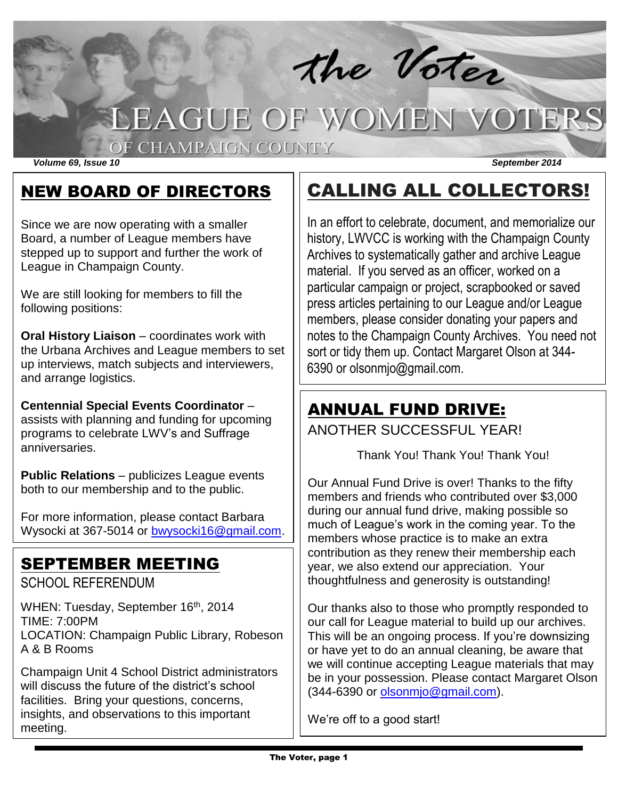

# LEAGUE OF WOMEN VOTERS

#### OF CHAMPAIGN COUNTY

*Volume 69, Issue 10 September 2014*

### NEW BOARD OF DIRECTORS

Since we are now operating with a smaller Board, a number of League members have stepped up to support and further the work of League in Champaign County.

We are still looking for members to fill the following positions:

**Oral History Liaison** – coordinates work with the Urbana Archives and League members to set up interviews, match subjects and interviewers, and arrange logistics.

**Centennial Special Events Coordinator** – assists with planning and funding for upcoming programs to celebrate LWV's and Suffrage anniversaries.

**Public Relations** – publicizes League events both to our membership and to the public.

For more information, please contact Barbara Wysocki at 367-5014 or [bwysocki16@gmail.com.](mailto:bwysocki16@gmail.com)

### SEPTEMBER MEETING

SCHOOL REFERENDUM

WHEN: Tuesday, September 16<sup>th</sup>, 2014 TIME: 7:00PM LOCATION: Champaign Public Library, Robeson A & B Rooms

Champaign Unit 4 School District administrators will discuss the future of the district's school facilities. Bring your questions, concerns, insights, and observations to this important meeting.

## CALLING ALL COLLECTORS!

In an effort to celebrate, document, and memorialize our history, LWVCC is working with the Champaign County Archives to systematically gather and archive League material. If you served as an officer, worked on a particular campaign or project, scrapbooked or saved press articles pertaining to our League and/or League members, please consider donating your papers and notes to the Champaign County Archives. You need not sort or tidy them up. Contact Margaret Olson at 344- 6390 or olsonmjo@gmail.com.

### ANNUAL FUND DRIVE:

ANOTHER SUCCESSFUL YEAR!

Thank You! Thank You! Thank You!

Our Annual Fund Drive is over! Thanks to the fifty members and friends who contributed over \$3,000 during our annual fund drive, making possible so much of League's work in the coming year. To the members whose practice is to make an extra contribution as they renew their membership each year, we also extend our appreciation. Your thoughtfulness and generosity is outstanding!

Our thanks also to those who promptly responded to our call for League material to build up our archives. This will be an ongoing process. If you're downsizing or have yet to do an annual cleaning, be aware that we will continue accepting League materials that may be in your possession. Please contact Margaret Olson (344-6390 or [olsonmjo@gmail.com\)](mailto:olsonmjo@gmail.com).

We're off to a good start!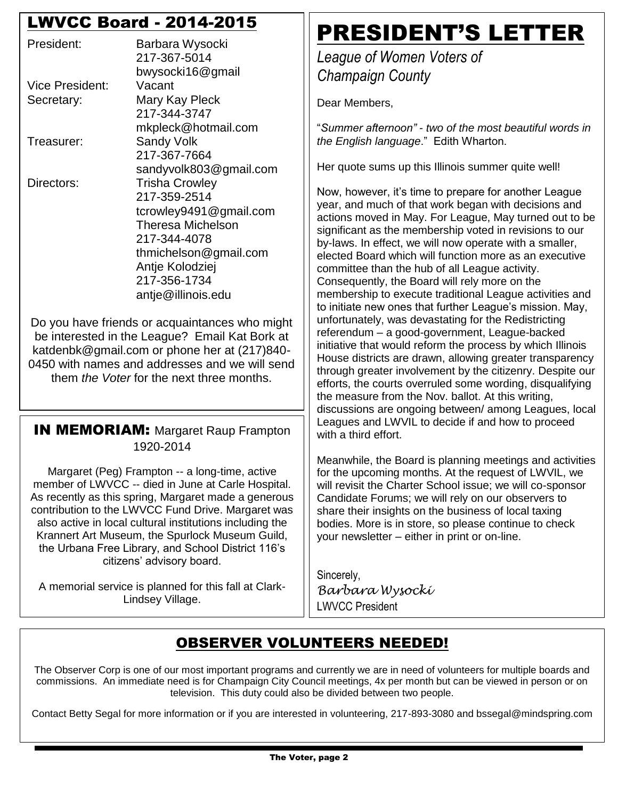### LWVCC Board - 2014-2015

| President:      | Barbara Wysocki<br>217-367-5014 |  |  |
|-----------------|---------------------------------|--|--|
|                 | bwysocki16@gmail                |  |  |
| Vice President: | Vacant                          |  |  |
| Secretary:      | Mary Kay Pleck                  |  |  |
|                 | 217-344-3747                    |  |  |
|                 | mkpleck@hotmail.com             |  |  |
| Treasurer:      | Sandy Volk                      |  |  |
|                 | 217-367-7664                    |  |  |
|                 | sandyvolk803@gmail.com          |  |  |
| Directors:      | <b>Trisha Crowley</b>           |  |  |
|                 | 217-359-2514                    |  |  |
|                 | tcrowley9491@gmail.com          |  |  |
|                 | <b>Theresa Michelson</b>        |  |  |
|                 | 217-344-4078                    |  |  |
|                 | thmichelson@gmail.com           |  |  |
|                 | Antje Kolodziej                 |  |  |
|                 | 217-356-1734                    |  |  |
|                 | antje@illinois.edu              |  |  |

Do you have friends or acquaintances who might be interested in the League? Email Kat Bork at katdenbk@gmail.com or phone her at (217)840- 0450 with names and addresses and we will send them *the Voter* for the next three months.

#### **IN MEMORIAM: Margaret Raup Frampton** 1920-2014

Margaret (Peg) Frampton -- a long-time, active member of LWVCC -- died in June at Carle Hospital. As recently as this spring, Margaret made a generous contribution to the LWVCC Fund Drive. Margaret was also active in local cultural institutions including the Krannert Art Museum, the Spurlock Museum Guild, the Urbana Free Library, and School District 116's citizens' advisory board.

A memorial service is planned for this fall at Clark-Lindsey Village.

## PRESIDENT'S LETTER

*League of Women Voters of Champaign County*

Dear Members,

"*Summer afternoon" - two of the most beautiful words in the English language*." Edith Wharton.

Her quote sums up this Illinois summer quite well!

Now, however, it's time to prepare for another League year, and much of that work began with decisions and actions moved in May. For League, May turned out to be significant as the membership voted in revisions to our by-laws. In effect, we will now operate with a smaller, elected Board which will function more as an executive committee than the hub of all League activity. Consequently, the Board will rely more on the membership to execute traditional League activities and to initiate new ones that further League's mission. May, unfortunately, was devastating for the Redistricting referendum – a good-government, League-backed initiative that would reform the process by which Illinois House districts are drawn, allowing greater transparency through greater involvement by the citizenry. Despite our efforts, the courts overruled some wording, disqualifying the measure from the Nov. ballot. At this writing, discussions are ongoing between/ among Leagues, local Leagues and LWVIL to decide if and how to proceed with a third effort.

Meanwhile, the Board is planning meetings and activities for the upcoming months. At the request of LWVIL, we will revisit the Charter School issue; we will co-sponsor Candidate Forums; we will rely on our observers to share their insights on the business of local taxing bodies. More is in store, so please continue to check your newsletter – either in print or on-line.

Sincerely, *Barbara Wysocki* LWVCC President

### OBSERVER VOLUNTEERS NEEDED!

The Observer Corp is one of our most important programs and currently we are in need of volunteers for multiple boards and commissions. An immediate need is for Champaign City Council meetings, 4x per month but can be viewed in person or on television. This duty could also be divided between two people.

Contact Betty Segal for more information or if you are interested in volunteering, 217-893-3080 and bssegal@mindspring.com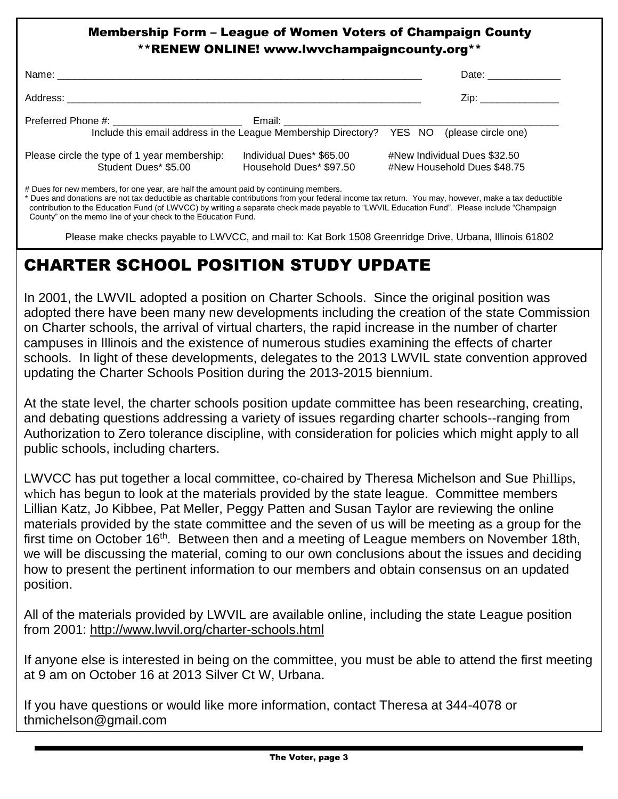#### Membership Form – League of Women Voters of Champaign County \*\*RENEW ONLINE! www.lwvchampaigncounty.org\*\*

|                                                                                           |                                                     | Date: ______________                                        |
|-------------------------------------------------------------------------------------------|-----------------------------------------------------|-------------------------------------------------------------|
|                                                                                           |                                                     | Zip: _________________                                      |
| Include this email address in the League Membership Directory? YES NO (please circle one) |                                                     |                                                             |
| Please circle the type of 1 year membership:<br>Student Dues* \$5.00                      | Individual Dues* \$65.00<br>Household Dues* \$97.50 | #New Individual Dues \$32.50<br>#New Household Dues \$48.75 |

# Dues for new members, for one year, are half the amount paid by continuing members.

\* Dues and donations are not tax deductible as charitable contributions from your federal income tax return. You may, however, make a tax deductible contribution to the Education Fund (of LWVCC) by writing a separate check made payable to "LWVIL Education Fund". Please include "Champaign County" on the memo line of your check to the Education Fund.

Please make checks payable to LWVCC, and mail to: Kat Bork 1508 Greenridge Drive, Urbana, Illinois 61802

### CHARTER SCHOOL POSITION STUDY UPDATE

In 2001, the LWVIL adopted a position on Charter Schools. Since the original position was adopted there have been many new developments including the creation of the state Commission on Charter schools, the arrival of virtual charters, the rapid increase in the number of charter campuses in Illinois and the existence of numerous studies examining the effects of charter schools. In light of these developments, delegates to the 2013 LWVIL state convention approved updating the Charter Schools Position during the 2013-2015 biennium.

At the state level, the charter schools position update committee has been researching, creating, and debating questions addressing a variety of issues regarding charter schools--ranging from Authorization to Zero tolerance discipline, with consideration for policies which might apply to all public schools, including charters.

LWVCC has put together a local committee, co-chaired by Theresa Michelson and Sue Phillips, which has begun to look at the materials provided by the state league. Committee members Lillian Katz, Jo Kibbee, Pat Meller, Peggy Patten and Susan Taylor are reviewing the online materials provided by the state committee and the seven of us will be meeting as a group for the first time on October 16<sup>th</sup>. Between then and a meeting of League members on November 18th, we will be discussing the material, coming to our own conclusions about the issues and deciding how to present the pertinent information to our members and obtain consensus on an updated position.

All of the materials provided by LWVIL are available online, including the state League position from 2001:<http://www.lwvil.org/charter-schools.html>

If anyone else is interested in being on the committee, you must be able to attend the first meeting at 9 am on October 16 at 2013 Silver Ct W, Urbana.

If you have questions or would like more information, contact Theresa at 344-4078 or thmichelson@gmail.com